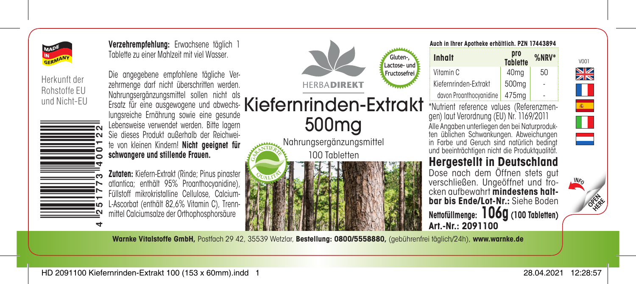

Herkunft der Rohstoffe EU und Nicht-EU



Verzehrempfehlung: Erwachsene täglich 1 Tablette zu einer Mahlzeit mit viel Wasser.

Die angegebene empfohlene tägliche Verzehrmenge darf nicht überschritten werden. Nahrungsergänzungsmittel sollen nicht als lungsreiche Ernährung sowie eine gesunde Lebensweise verwendet werden. Bitte lagern Sie dieses Produkt außerhalb der Reichweite von kleinen Kindern! Nicht geeignet für schwangere und stillende Frauen.

Zutaten: Kiefern-Extrakt (Rinde; Pinus pinaster atlantica; enthält 95% Proanthocyanidine), Füllstoff mikrokristalline Cellulose, Calcium-L-Ascorbat (enthält 82,6% Vitamin C), Trennmittel Calciumsalze der Orthophosphorsäure



# Nahrungserganzungsmittel sollen nicht als<br>Ersätz für eine ausgewogene und abwechs- Kiefernrinden-Extrakt wurden vereiner der erwichten der Weitereich v<br>Lungsgiche Ernährung sowie eine gesunde 500mg



|            |                       | Auch in Ihrer Apotheke erhältlich. PZN 17443894 |          |  |
|------------|-----------------------|-------------------------------------------------|----------|--|
| <b>und</b> | Inhalt                | pro<br><b>Tablette</b>                          | $%$ NRV* |  |
| ʻrei       | Vitamin C             | 40 <sub>ma</sub>                                | 50       |  |
| F.         | Kiefernrinden-Extrakt | 500 <sub>ma</sub>                               |          |  |
|            |                       |                                                 |          |  |

|                       | AVUL III IIII VI AVVIIIVNV VIIIVIIIIIIIIIII II 177VV/T |                        |          |                               |  |
|-----------------------|--------------------------------------------------------|------------------------|----------|-------------------------------|--|
| Gluten-.<br>ctose-und | Inhalt                                                 | pro<br><b>Tablette</b> | $%$ NRV* | VOO1                          |  |
| uctosefrei            | Vitamin C                                              | 40 <sub>ma</sub>       | 50       | SĿ<br>$\overline{\mathbf{z}}$ |  |
| <b>Programme</b>      | Kiefernrinden-Extrakt                                  | 500 <sub>ma</sub>      |          |                               |  |
|                       | davon Proanthocvanidine                                | 475mg                  |          |                               |  |

Alle Angaben unterliegen den bei Naturproduk-ten üblichen Schwankungen. Abweichungen in Farbe und Geruch sind natürlich bedingt Nahrungsergänzungsmittel in Farbe und Geruch sind natürlich bedingt.<br>und beeinträchtigen nicht die Produktqualität. \*Nutrient reference values (Referenzmengen) laut Verordnung (EU) Nr. 1169/2011

> Art.-Nr.: 2091100 Nettofüllmenge: 106g (100 Tabletten) Dose nach dem Offnen stets gut<br>verschließen. Ungeöffnet und tro-<br>cken aufbewahrt **mindestens halt**bar bis Ende/Lot-Nr.: Siehe Boden Hergestellt in Deutschland



**NK** 

H

**Contract** 

Warnke Vitalstoffe GmbH, Postfach 29 42, 35539 Wetzlar, Bestellung: 0800/5558880, (gebührenfrei täglich/24h), www.warnke.de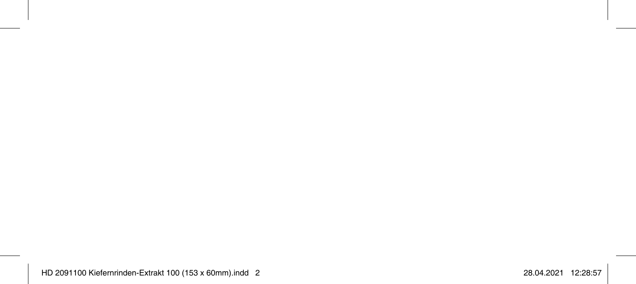HD 2091100 Kiefernrinden-Extrakt 100 (153 x 60mm).indd 2 28.04.2021 12:28:57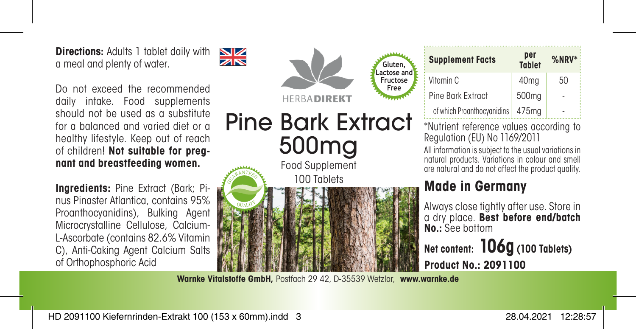**Directions:** Adults 1 tablet daily with  $rac{N}{N}$ a meal and plenty of water.

Do not exceed the recommended daily intake. Food supplements should not be used as a substitute for a balanced and varied diet or a healthy lifestyle. Keep out of reach of children! Not suitable for pregnant and breastfeeding women.

Ingredients: Pine Extract (Bark; Pinus Pinaster Atlantica, contains 95% Proanthocyanidins), Bulking Agent Microcrystalline Cellulose, Calcium-L-Ascorbate (contains 82.6% Vitamin C), Anti-Caking Agent Calcium Salts of Orthophosphoric Acid



**Free**

# Pine Bark Extract 500mg

**QUALITY** 

Food Supplement 100 Tablets

| <b>Supplement Facts</b>    | per<br><b>Tablet</b> | $%$ NRV <sup>*</sup> |
|----------------------------|----------------------|----------------------|
| Vitamin C                  | 40 <sub>ma</sub>     | 50                   |
| Pine Bark Extract          | 500 <sub>mg</sub>    |                      |
| of which Proanthocyanidins | 475 <sub>ma</sub>    |                      |

\*Nutrient reference values according to Regulation (EU) No 1169/2011

All information is subject to the usual variations in natural products. Variations in colour and smell are natural and do not affect the product quality.

## **Made in Germany**

Always close tightly after use. Store in a dry place. Best before end/batch No.: See bottom

Product No.: 2091100 Net content: 106g (100 Tablets)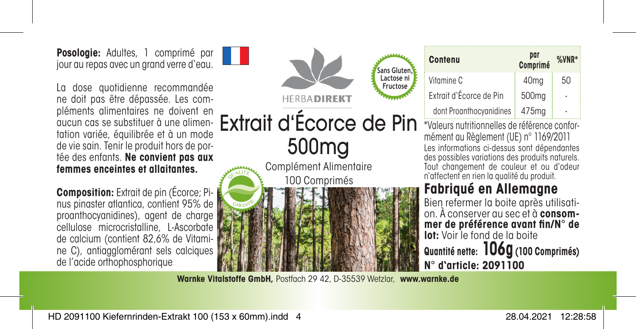Posologie: Adultes, 1 comprimé par jour au repas avec un grand verre d'eau.

La dose quotidienne recommandée ne doit pas être dépassée. Les compléments alimentaires ne doivent en aucun cas se substituer à une alimentation variée, équilibrée et à un mode de vie sain. Tenir le produit hors de portée des enfants. Ne convient pas aux femmes enceintes et allaitantes.

Composition: Extrait de pin (Écorce; Pinus pinaster atlantica, contient 95% de proanthocyanidines), agent de charge cellulose microcristalline, L-Ascorbate de calcium (contient 82,6% de Vitamine C), antiagglomérant sels calciques de l'acide orthophosphorique



| Contenu                 | par<br>Comprimé   | $%$ VNR* |
|-------------------------|-------------------|----------|
| Vitamine C              | 40 <sub>mg</sub>  | 50       |
| Extrait d'Écorce de Pin | 500 <sub>ma</sub> |          |
| dont Proanthocyanidines | 475 <sub>ma</sub> |          |

Les informations ci-dessus sont dépendantes des possibles variations des produits naturels. Tout changement de couleur et ou d'odeur n'affectent en rien la qualité du produit. \*Valeurs nutritionnelles de référence conformément au Règlement (UE) n° 1169/2011

# Fabriqué en Allemagne

N° d'article: 2091100 Quantité nette: 106g (100 Comprimés) Bien refermer la boite après utilisation. À conserver au sec et à consommer de préférence avant fin/N° de lot: Voir le fond de la boite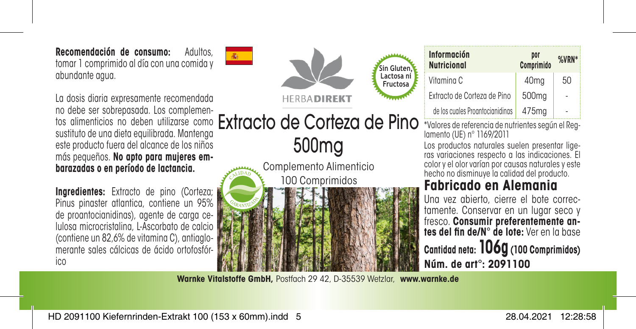Recomendación de consumo: Adultos tomar 1 comprimido al día con una comida y abundante agua.

La dosis diaria expresamente recomendada<br>no debe ser sobrepasada. Los complemensustituto de una dieta equilibrada. Mantenga este producto fuera del alcance de los niños más pequeños. No apto para mujeres embarazadas o en período de lactancia.

Ingredientes: Extracto de pino (Corteza; Pinus pinaster atlantica, contiene un 95% de proantocianidinas), agente de carga celulosa microcristalina, L-Ascorbato de calcio (contiene un 82,6% de vitamina C), antiaglomerante sales cálcicas de ácido ortofosfórico

**HERBADIREKT** no debe ser sobrepasada. Los complemen-<br>tos alimenticios no deben utilizarse como Extracto de Corteza de Pino «Valores de referencia de nutrientes según ell<br>existituto de una dista consilizada Mantonas 500mg

**Sin Gluten, Lactosa ni Fructosa**

Complemento Alimenticio 100 Comprimidos

CALIDA<sup>D</sup> GARANTIZADA

**图** 

| Información<br><b>Nutricional</b> | <b>DOT</b><br>Comprimido | $%$ VRN* |
|-----------------------------------|--------------------------|----------|
| Vitamina C                        | 40 <sub>ma</sub>         | 50       |
| Extracto de Corteza de Pino       | 500 <sub>ma</sub>        | ٠        |
| de los cuales Proantocianidinas   | 475ma                    |          |

\*Valores de referencia de nutrientes según el Reglamento (UE) n° 1169/2011

Los productos naturales suelen presentar ligeras variaciones respecto a las indicaciones. El color y el olor varían por causas naturales y este hecho no disminuye la calidad del producto.

#### Fabricado en Alemania

Núm. de art°: 2091100 Cantidad neta: 106g (100 Comprimidos) Una vez abierto, cierre el bote correctamente. Conservar en un lugar seco y fresco. Consumir preferentemente an-tes del fin de/N° de lote: Ver en la base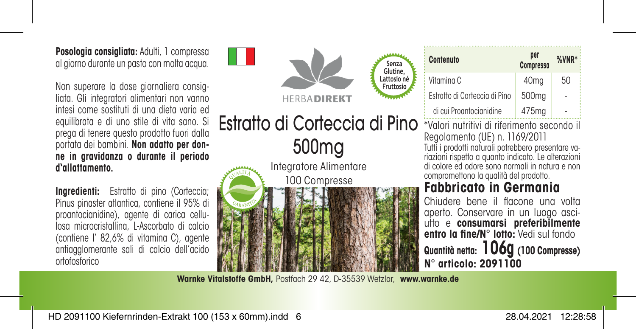Posologia consigliata: Adulti, 1 compressa al giorno durante un pasto con molta acqua.

Non superare la dose giornaliera consigliata. Gli integratori alimentari non vanno intesi come sostituti di una dieta varia ed equilibrata e di uno stile di vita sano. Si prega di tenere questo prodotto fuori dalla portata dei bambini. Non adatto per donne in gravidanza o durante il periodo d'allattamento.

Ingredienti: Estratto di pino (Corteccia: Pinus pinaster atlantica, contiene il 95% di proantocianidine), agente di carica cellulosa microcristallina, L-Ascorbato di calcio (contiene l' 82,6% di vitamina C), agente antiagglomerante sali di calcio dell'acido ortofosforico

M. **Senza Glutine, Lattosio né Fruttosio HERBADIREKT** Estratto di Corteccia di Pino<br>
<sup>di cui Proantocianidine 175mg</sup> -500mg Integratore Alimentare QUALIT<sup>À</sup> 100 Compresse **GARANTITA** 

| Contenuto                     | per<br>Compressa  | $%$ VNR* |
|-------------------------------|-------------------|----------|
| Vitamina C                    | 40 <sub>mg</sub>  | 50       |
| Estratto di Corteccia di Pino | 500 <sub>mg</sub> |          |
| di cui Proantocianidine       | 475ma             |          |

Tutti i prodotti naturali potrebbero presentare variazioni rispetto a quanto indicato. Le alterazioni di colore ed odore sono normali in natura e non compromettono la qualità del prodotto. \*Valori nutritivi di riferimento secondo il Regolamento (UE) n. 1169/2011

### Fabbricato in Germania

N° articolo: 2091100 Quantità netta: 106g (100 Compresse) Chiudere bene il flacone una volta aperto. Conservare in un luogo asciutto e consumarsi preferibilmente entro la fine/N° lotto: Vedi sul fondo